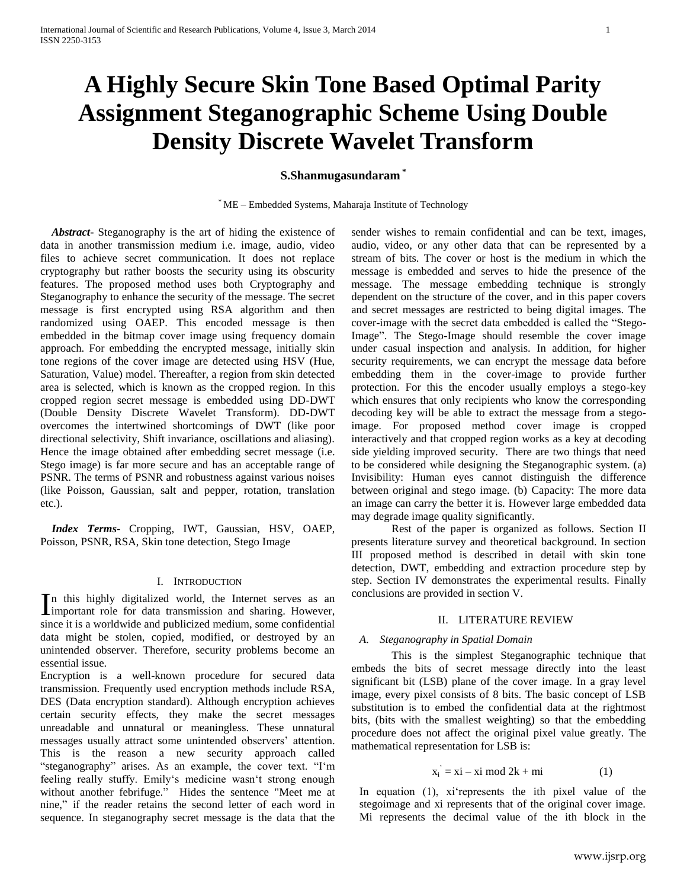# **A Highly Secure Skin Tone Based Optimal Parity Assignment Steganographic Scheme Using Double Density Discrete Wavelet Transform**

# **S.Shanmugasundaram \***

## \* ME – Embedded Systems, Maharaja Institute of Technology

 *Abstract***-** Steganography is the art of hiding the existence of data in another transmission medium i.e. image, audio, video files to achieve secret communication. It does not replace cryptography but rather boosts the security using its obscurity features. The proposed method uses both Cryptography and Steganography to enhance the security of the message. The secret message is first encrypted using RSA algorithm and then randomized using OAEP. This encoded message is then embedded in the bitmap cover image using frequency domain approach. For embedding the encrypted message, initially skin tone regions of the cover image are detected using HSV (Hue, Saturation, Value) model. Thereafter, a region from skin detected area is selected, which is known as the cropped region. In this cropped region secret message is embedded using DD-DWT (Double Density Discrete Wavelet Transform). DD-DWT overcomes the intertwined shortcomings of DWT (like poor directional selectivity, Shift invariance, oscillations and aliasing). Hence the image obtained after embedding secret message (i.e. Stego image) is far more secure and has an acceptable range of PSNR. The terms of PSNR and robustness against various noises (like Poisson, Gaussian, salt and pepper, rotation, translation etc.).

 *Index Terms*- Cropping, IWT, Gaussian, HSV, OAEP, Poisson, PSNR, RSA, Skin tone detection, Stego Image

# I. INTRODUCTION

n this highly digitalized world, the Internet serves as an In this highly digitalized world, the Internet serves as an important role for data transmission and sharing. However, since it is a worldwide and publicized medium, some confidential data might be stolen, copied, modified, or destroyed by an unintended observer. Therefore, security problems become an essential issue.

Encryption is a well-known procedure for secured data transmission. Frequently used encryption methods include RSA, DES (Data encryption standard). Although encryption achieves certain security effects, they make the secret messages unreadable and unnatural or meaningless. These unnatural messages usually attract some unintended observers' attention. This is the reason a new security approach called "steganography" arises. As an example, the cover text. "I'm feeling really stuffy. Emily's medicine wasn't strong enough without another febrifuge." Hides the sentence "Meet me at nine," if the reader retains the second letter of each word in sequence. In steganography secret message is the data that the sender wishes to remain confidential and can be text, images, audio, video, or any other data that can be represented by a stream of bits. The cover or host is the medium in which the message is embedded and serves to hide the presence of the message. The message embedding technique is strongly dependent on the structure of the cover, and in this paper covers and secret messages are restricted to being digital images. The cover-image with the secret data embedded is called the "Stego-Image". The Stego-Image should resemble the cover image under casual inspection and analysis. In addition, for higher security requirements, we can encrypt the message data before embedding them in the cover-image to provide further protection. For this the encoder usually employs a stego-key which ensures that only recipients who know the corresponding decoding key will be able to extract the message from a stegoimage. For proposed method cover image is cropped interactively and that cropped region works as a key at decoding side yielding improved security. There are two things that need to be considered while designing the Steganographic system. (a) Invisibility: Human eyes cannot distinguish the difference between original and stego image. (b) Capacity: The more data an image can carry the better it is. However large embedded data may degrade image quality significantly.

Rest of the paper is organized as follows. Section II presents literature survey and theoretical background. In section III proposed method is described in detail with skin tone detection, DWT, embedding and extraction procedure step by step. Section IV demonstrates the experimental results. Finally conclusions are provided in section V.

# II. LITERATURE REVIEW

# *A. Steganography in Spatial Domain*

This is the simplest Steganographic technique that embeds the bits of secret message directly into the least significant bit (LSB) plane of the cover image. In a gray level image, every pixel consists of 8 bits. The basic concept of LSB substitution is to embed the confidential data at the rightmost bits, (bits with the smallest weighting) so that the embedding procedure does not affect the original pixel value greatly. The mathematical representation for LSB is:

$$
x_i = xi - xi \mod 2k + mi \tag{1}
$$

In equation (1), xi'represents the ith pixel value of the stegoimage and xi represents that of the original cover image. Mi represents the decimal value of the ith block in the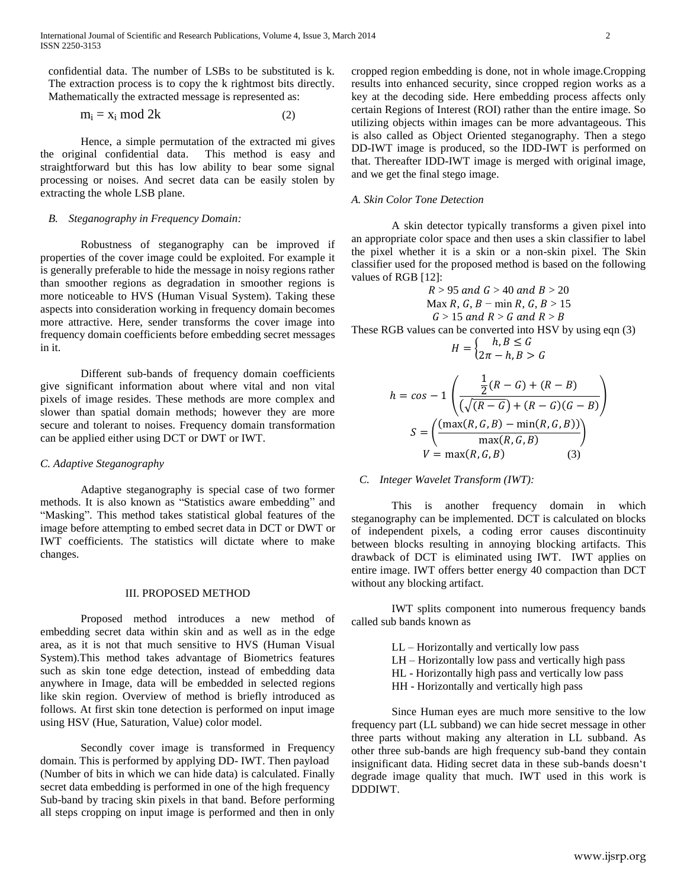confidential data. The number of LSBs to be substituted is k. The extraction process is to copy the k rightmost bits directly. Mathematically the extracted message is represented as:

$$
m_i = x_i \bmod 2k \tag{2}
$$

Hence, a simple permutation of the extracted mi gives the original confidential data. This method is easy and straightforward but this has low ability to bear some signal processing or noises. And secret data can be easily stolen by extracting the whole LSB plane.

# *B. Steganography in Frequency Domain:*

Robustness of steganography can be improved if properties of the cover image could be exploited. For example it is generally preferable to hide the message in noisy regions rather than smoother regions as degradation in smoother regions is more noticeable to HVS (Human Visual System). Taking these aspects into consideration working in frequency domain becomes more attractive. Here, sender transforms the cover image into frequency domain coefficients before embedding secret messages in it.

Different sub-bands of frequency domain coefficients give significant information about where vital and non vital pixels of image resides. These methods are more complex and slower than spatial domain methods; however they are more secure and tolerant to noises. Frequency domain transformation can be applied either using DCT or DWT or IWT.

## *C. Adaptive Steganography*

Adaptive steganography is special case of two former methods. It is also known as "Statistics aware embedding" and "Masking". This method takes statistical global features of the image before attempting to embed secret data in DCT or DWT or IWT coefficients. The statistics will dictate where to make changes.

# III. PROPOSED METHOD

Proposed method introduces a new method of embedding secret data within skin and as well as in the edge area, as it is not that much sensitive to HVS (Human Visual System).This method takes advantage of Biometrics features such as skin tone edge detection, instead of embedding data anywhere in Image, data will be embedded in selected regions like skin region. Overview of method is briefly introduced as follows. At first skin tone detection is performed on input image using HSV (Hue, Saturation, Value) color model.

Secondly cover image is transformed in Frequency domain. This is performed by applying DD- IWT. Then payload (Number of bits in which we can hide data) is calculated. Finally secret data embedding is performed in one of the high frequency Sub-band by tracing skin pixels in that band. Before performing all steps cropping on input image is performed and then in only cropped region embedding is done, not in whole image.Cropping results into enhanced security, since cropped region works as a key at the decoding side. Here embedding process affects only certain Regions of Interest (ROI) rather than the entire image. So utilizing objects within images can be more advantageous. This is also called as Object Oriented steganography. Then a stego DD-IWT image is produced, so the IDD-IWT is performed on that. Thereafter IDD-IWT image is merged with original image, and we get the final stego image.

## *A. Skin Color Tone Detection*

A skin detector typically transforms a given pixel into an appropriate color space and then uses a skin classifier to label the pixel whether it is a skin or a non-skin pixel. The Skin classifier used for the proposed method is based on the following values of RGB [12]:

$$
R > 95
$$
 and  $G > 40$  and  $B > 20$   
Max R, G,  $B - min R$ , G,  $B > 15$   
 $G > 15$  and  $R > G$  and  $R > B$ 

These RGB values can be converted into HSV by using eqn (3)

$$
H = \begin{cases} h, B \le G \\ 2\pi - h, B > G \end{cases}
$$

$$
h = \cos - 1 \left( \frac{\frac{1}{2}(R - G) + (R - B)}{(\sqrt{(R - G)} + (R - G)(G - B))} \right)
$$

$$
S = \left( \frac{\left(\max(R, G, B) - \min(R, G, B)\right)}{\max(R, G, B)} \right)
$$

$$
V = \max(R, G, B) \qquad (3)
$$

# *C. Integer Wavelet Transform (IWT):*

This is another frequency domain in which steganography can be implemented. DCT is calculated on blocks of independent pixels, a coding error causes discontinuity between blocks resulting in annoying blocking artifacts. This drawback of DCT is eliminated using IWT. IWT applies on entire image. IWT offers better energy 40 compaction than DCT without any blocking artifact.

IWT splits component into numerous frequency bands called sub bands known as

- LL Horizontally and vertically low pass
- LH Horizontally low pass and vertically high pass
- HL Horizontally high pass and vertically low pass
- HH Horizontally and vertically high pass

Since Human eyes are much more sensitive to the low frequency part (LL subband) we can hide secret message in other three parts without making any alteration in LL subband. As other three sub-bands are high frequency sub-band they contain insignificant data. Hiding secret data in these sub-bands doesn't degrade image quality that much. IWT used in this work is DDDIWT.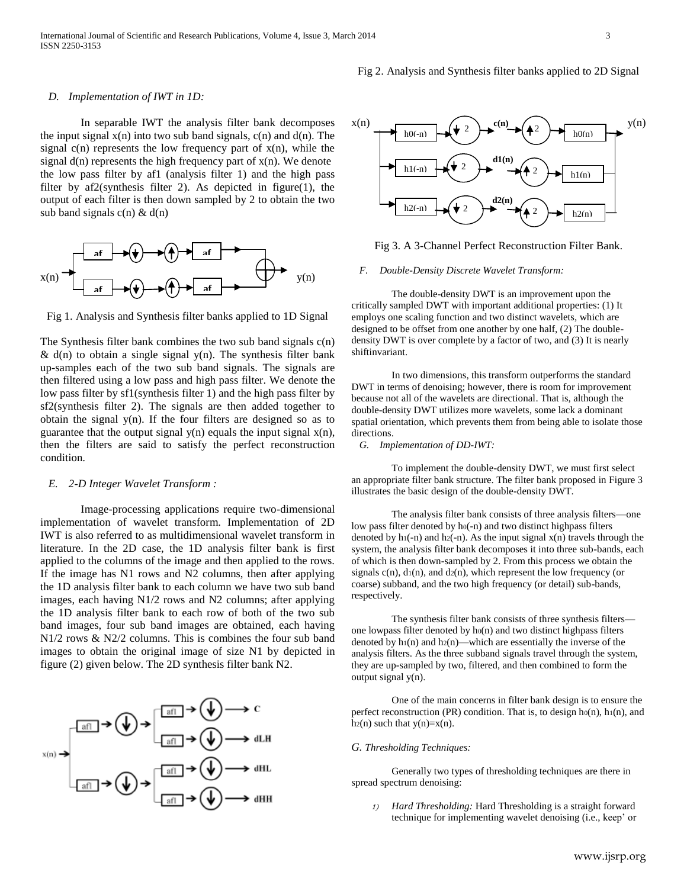# Fig 2. Analysis and Synthesis filter banks applied to 2D Signal

## *D. Implementation of IWT in 1D:*

In separable IWT the analysis filter bank decomposes the input signal  $x(n)$  into two sub band signals,  $c(n)$  and  $d(n)$ . The signal  $c(n)$  represents the low frequency part of  $x(n)$ , while the signal  $d(n)$  represents the high frequency part of  $x(n)$ . We denote the low pass filter by af1 (analysis filter 1) and the high pass filter by af2(synthesis filter 2). As depicted in figure(1), the output of each filter is then down sampled by 2 to obtain the two sub band signals  $c(n)$  &  $d(n)$ 



Fig 1. Analysis and Synthesis filter banks applied to 1D Signal

The Synthesis filter bank combines the two sub band signals  $c(n)$ &  $d(n)$  to obtain a single signal  $y(n)$ . The synthesis filter bank up-samples each of the two sub band signals. The signals are then filtered using a low pass and high pass filter. We denote the low pass filter by sf1(synthesis filter 1) and the high pass filter by sf2(synthesis filter 2). The signals are then added together to obtain the signal y(n). If the four filters are designed so as to guarantee that the output signal  $y(n)$  equals the input signal  $x(n)$ , then the filters are said to satisfy the perfect reconstruction condition.

## *E. 2-D Integer Wavelet Transform :*

Image-processing applications require two-dimensional implementation of wavelet transform. Implementation of 2D IWT is also referred to as multidimensional wavelet transform in literature. In the 2D case, the 1D analysis filter bank is first applied to the columns of the image and then applied to the rows. If the image has N1 rows and N2 columns, then after applying the 1D analysis filter bank to each column we have two sub band images, each having N1/2 rows and N2 columns; after applying the 1D analysis filter bank to each row of both of the two sub band images, four sub band images are obtained, each having N1/2 rows & N2/2 columns. This is combines the four sub band images to obtain the original image of size N1 by depicted in figure (2) given below. The 2D synthesis filter bank N2.





Fig 3. A 3-Channel Perfect Reconstruction Filter Bank.

#### *F. Double-Density Discrete Wavelet Transform:*

The double-density DWT is an improvement upon the critically sampled DWT with important additional properties: (1) It employs one scaling function and two distinct wavelets, which are designed to be offset from one another by one half, (2) The doubledensity DWT is over complete by a factor of two, and (3) It is nearly shiftinvariant.

In two dimensions, this transform outperforms the standard DWT in terms of denoising; however, there is room for improvement because not all of the wavelets are directional. That is, although the double-density DWT utilizes more wavelets, some lack a dominant spatial orientation, which prevents them from being able to isolate those directions.

*G. Implementation of DD-IWT:*

To implement the double-density DWT, we must first select an appropriate filter bank structure. The filter bank proposed in Figure 3 illustrates the basic design of the double-density DWT.

The analysis filter bank consists of three analysis filters—one low pass filter denoted by  $ho(-n)$  and two distinct highpass filters denoted by  $h_1(-n)$  and  $h_2(-n)$ . As the input signal  $x(n)$  travels through the system, the analysis filter bank decomposes it into three sub-bands, each of which is then down-sampled by 2. From this process we obtain the signals  $c(n)$ ,  $d_1(n)$ , and  $d_2(n)$ , which represent the low frequency (or coarse) subband, and the two high frequency (or detail) sub-bands, respectively.

The synthesis filter bank consists of three synthesis filters one lowpass filter denoted by  $h_0(n)$  and two distinct highpass filters denoted by  $h_1(n)$  and  $h_2(n)$ —which are essentially the inverse of the analysis filters. As the three subband signals travel through the system, they are up-sampled by two, filtered, and then combined to form the output signal y(n).

One of the main concerns in filter bank design is to ensure the perfect reconstruction (PR) condition. That is, to design ho(n),  $h_1(n)$ , and  $h_2(n)$  such that  $y(n)=x(n)$ .

## *G. Thresholding Techniques:*

Generally two types of thresholding techniques are there in spread spectrum denoising:

1) *Hard Thresholding:* Hard Thresholding is a straight forward technique for implementing wavelet denoising (i.e., keep' or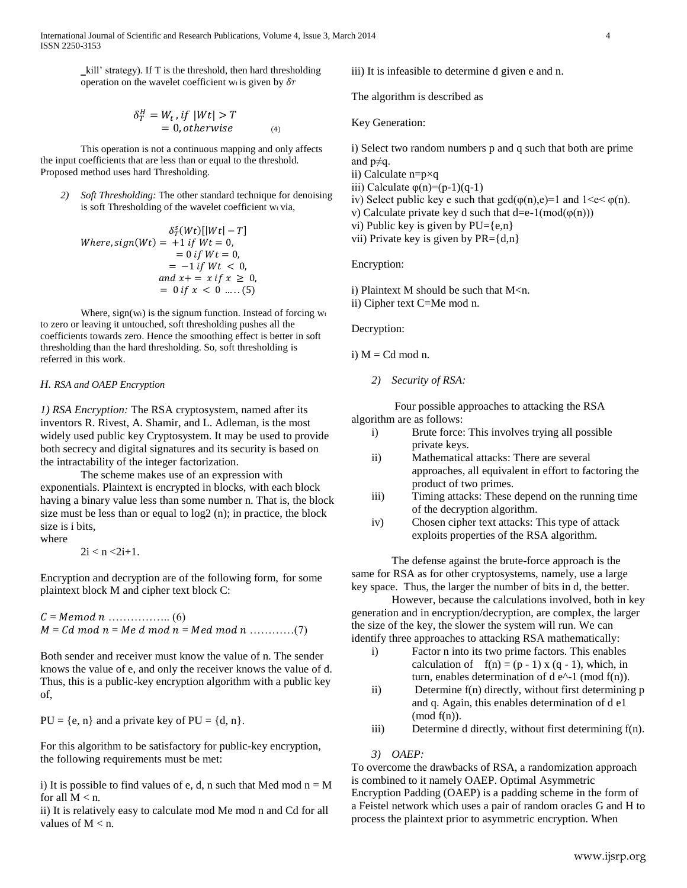$_k$ ill' strategy). If T is the threshold, then hard thresholding operation on the wavelet coefficient wt is given by  $\delta r$ 

$$
\delta_T^H = W_t, if |Wt| > T
$$
  
= 0, otherwise (4)

This operation is not a continuous mapping and only affects the input coefficients that are less than or equal to the threshold. Proposed method uses hard Thresholding.

*2) Soft Thresholding:* The other standard technique for denoising is soft Thresholding of the wavelet coefficient  $w_t$  via,

$$
\delta_f^S(Wt)[|Wt| - T]
$$
  
\nWhere, sign(Wt) = +1 if Wt = 0,  
\n= 0 if Wt = 0,  
\n= -1 if Wt < 0,  
\nand x+= x if x \ge 0,  
\n= 0 if x < 0 .....(5)

Where,  $sign(w_t)$  is the signum function. Instead of forcing  $w_t$ to zero or leaving it untouched, soft thresholding pushes all the coefficients towards zero. Hence the smoothing effect is better in soft thresholding than the hard thresholding. So, soft thresholding is referred in this work.

## *H. RSA and OAEP Encryption*

*1) RSA Encryption:* The RSA cryptosystem, named after its inventors R. Rivest, A. Shamir, and L. Adleman, is the most widely used public key Cryptosystem. It may be used to provide both secrecy and digital signatures and its security is based on the intractability of the integer factorization.

The scheme makes use of an expression with exponentials. Plaintext is encrypted in blocks, with each block having a binary value less than some number n. That is, the block size must be less than or equal to log2 (n); in practice, the block size is i bits,

where

 $2i < n < 2i+1$ .

Encryption and decryption are of the following form, for some plaintext block M and cipher text block C:

 = …………….. (6)  $M = Cd \mod n = Me \ dm \mod n = Med \ mod \ n \ .... \ .... \ (7)$ 

Both sender and receiver must know the value of n. The sender knows the value of e, and only the receiver knows the value of d. Thus, this is a public-key encryption algorithm with a public key of,

 $PU = \{e, n\}$  and a private key of  $PU = \{d, n\}.$ 

For this algorithm to be satisfactory for public-key encryption, the following requirements must be met:

i) It is possible to find values of e, d, n such that Med mod  $n = M$ for all  $M < n$ .

ii) It is relatively easy to calculate mod Me mod n and Cd for all values of  $M < n$ .

iii) It is infeasible to determine d given e and n.

The algorithm is described as

Key Generation:

i) Select two random numbers p and q such that both are prime and p≠q.

- ii) Calculate n=p×q
- iii) Calculate  $\varphi(n)=(p-1)(q-1)$
- iv) Select public key e such that  $gcd(\varphi(n), e)=1$  and  $1 \le e \le \varphi(n)$ .
- v) Calculate private key d such that  $d=e-1(mod(\varphi(n)))$
- vi) Public key is given by  $PU = \{e, n\}$

vii) Private key is given by  $PR = \{d, n\}$ 

Encryption:

i) Plaintext M should be such that  $M \leq n$ .

ii) Cipher text C=Me mod n.

Decryption:

$$
i) M = Cd \bmod n.
$$

*2) Security of RSA:*

Four possible approaches to attacking the RSA algorithm are as follows:

- i) Brute force: This involves trying all possible private keys.
- ii) Mathematical attacks: There are several approaches, all equivalent in effort to factoring the product of two primes.
- iii) Timing attacks: These depend on the running time of the decryption algorithm.
- iv) Chosen cipher text attacks: This type of attack exploits properties of the RSA algorithm.

The defense against the brute-force approach is the same for RSA as for other cryptosystems, namely, use a large key space. Thus, the larger the number of bits in d, the better.

However, because the calculations involved, both in key generation and in encryption/decryption, are complex, the larger the size of the key, the slower the system will run. We can identify three approaches to attacking RSA mathematically:

- i) Factor n into its two prime factors. This enables calculation of  $f(n) = (p - 1)x (q - 1)$ , which, in turn, enables determination of d  $e^{\Lambda}$ -1 (mod f(n)).
- ii) Determine f(n) directly, without first determining p and q. Again, this enables determination of d e1  $(mod f(n)).$
- iii) Determine d directly, without first determining f(n).

# *3) OAEP:*

To overcome the drawbacks of RSA, a randomization approach is combined to it namely OAEP. Optimal Asymmetric Encryption Padding (OAEP) is a padding scheme in the form of a Feistel network which uses a pair of random oracles G and H to process the plaintext prior to asymmetric encryption. When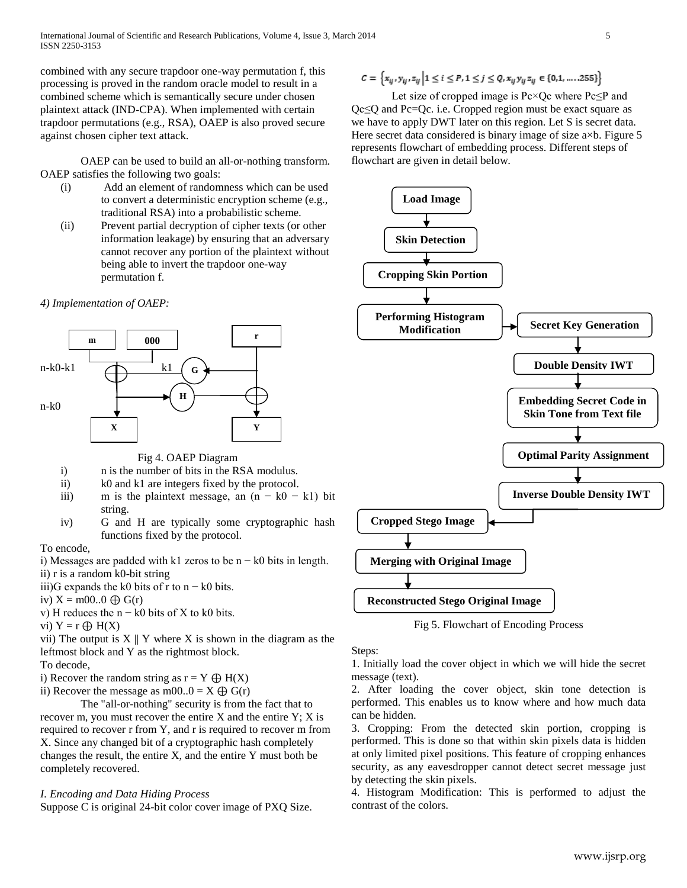combined with any secure trapdoor one-way permutation f, this processing is proved in the random oracle model to result in a combined scheme which is semantically secure under chosen plaintext attack (IND-CPA). When implemented with certain trapdoor permutations (e.g., RSA), OAEP is also proved secure against chosen cipher text attack.

OAEP can be used to build an all-or-nothing transform. OAEP satisfies the following two goals:

- (i) Add an element of randomness which can be used to convert a deterministic encryption scheme (e.g., traditional RSA) into a probabilistic scheme.
- (ii) Prevent partial decryption of cipher texts (or other information leakage) by ensuring that an adversary cannot recover any portion of the plaintext without being able to invert the trapdoor one-way permutation f.

*4) Implementation of OAEP:*



Fig 4. OAEP Diagram

- i) n is the number of bits in the RSA modulus.
- ii) k0 and k1 are integers fixed by the protocol.
- iii) m is the plaintext message, an  $(n k0 k1)$  bit string.
- iv) G and H are typically some cryptographic hash functions fixed by the protocol.

## To encode,

i) Messages are padded with k1 zeros to be n − k0 bits in length.

ii) r is a random k0-bit string

iii)G expands the k0 bits of r to  $n − k0$  bits.

- iv)  $X = m00..0 \oplus G(r)$
- v) H reduces the  $n k0$  bits of X to k0 bits.
- vi)  $Y = r \bigoplus H(X)$

vii) The output is  $X \parallel Y$  where X is shown in the diagram as the leftmost block and Y as the rightmost block.

To decode,

i) Recover the random string as  $r = Y \oplus H(X)$ 

ii) Recover the message as m00..0 =  $X \oplus G(r)$ 

The "all-or-nothing" security is from the fact that to recover m, you must recover the entire X and the entire Y; X is required to recover r from Y, and r is required to recover m from X. Since any changed bit of a cryptographic hash completely changes the result, the entire X, and the entire Y must both be completely recovered.

# *I. Encoding and Data Hiding Process*

Suppose C is original 24-bit color cover image of PXQ Size.

 $C = \left\{ x_{ij}, y_{ij}, z_{ij} \left| 1 \leq i \leq P, 1 \leq j \leq Q, x_{ij}y_{ij}z_{ij} \in \{0, 1, .... . 255\} \right\} \right.$ 

Let size of cropped image is Pc×Qc where Pc≤P and Qc≤Q and Pc=Qc. i.e. Cropped region must be exact square as we have to apply DWT later on this region. Let S is secret data. Here secret data considered is binary image of size  $a \times b$ . Figure 5 represents flowchart of embedding process. Different steps of flowchart are given in detail below.



Fig 5. Flowchart of Encoding Process

Steps:

1. Initially load the cover object in which we will hide the secret message (text).

2. After loading the cover object, skin tone detection is performed. This enables us to know where and how much data can be hidden.

3. Cropping: From the detected skin portion, cropping is performed. This is done so that within skin pixels data is hidden at only limited pixel positions. This feature of cropping enhances security, as any eavesdropper cannot detect secret message just by detecting the skin pixels.

4. Histogram Modification: This is performed to adjust the contrast of the colors.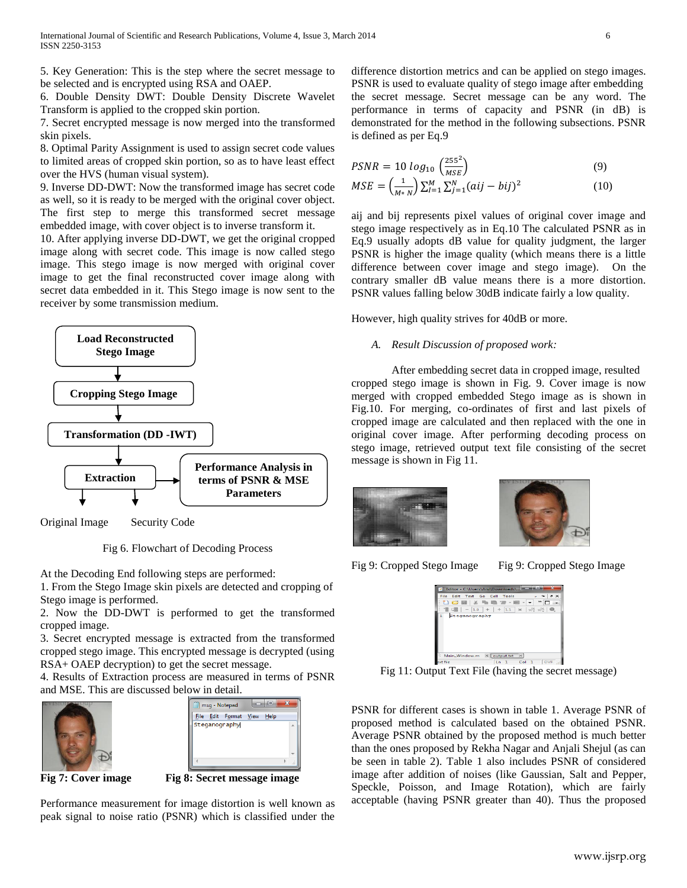5. Key Generation: This is the step where the secret message to be selected and is encrypted using RSA and OAEP.

6. Double Density DWT: Double Density Discrete Wavelet Transform is applied to the cropped skin portion.

7. Secret encrypted message is now merged into the transformed skin pixels.

8. Optimal Parity Assignment is used to assign secret code values to limited areas of cropped skin portion, so as to have least effect over the HVS (human visual system).

9. Inverse DD-DWT: Now the transformed image has secret code as well, so it is ready to be merged with the original cover object. The first step to merge this transformed secret message embedded image, with cover object is to inverse transform it.

10. After applying inverse DD-DWT, we get the original cropped image along with secret code. This image is now called stego image. This stego image is now merged with original cover image to get the final reconstructed cover image along with secret data embedded in it. This Stego image is now sent to the receiver by some transmission medium.



Original Image Security Code

Fig 6. Flowchart of Decoding Process

At the Decoding End following steps are performed:

1. From the Stego Image skin pixels are detected and cropping of Stego image is performed.

2. Now the DD-DWT is performed to get the transformed cropped image.

3. Secret encrypted message is extracted from the transformed cropped stego image. This encrypted message is decrypted (using RSA+ OAEP decryption) to get the secret message.

4. Results of Extraction process are measured in terms of PSNR and MSE. This are discussed below in detail.





**Fig 7: Cover image Fig 8: Secret message image**

Performance measurement for image distortion is well known as peak signal to noise ratio (PSNR) which is classified under the

difference distortion metrics and can be applied on stego images. PSNR is used to evaluate quality of stego image after embedding the secret message. Secret message can be any word. The performance in terms of capacity and PSNR (in dB) is demonstrated for the method in the following subsections. PSNR is defined as per Eq.9

$$
PSNR = 10 \log_{10} \left( \frac{255^2}{MSE} \right) \tag{9}
$$

$$
MSE = \left(\frac{1}{M*N}\right) \sum_{l=1}^{M} \sum_{j=1}^{N} (aij - bij)^2 \tag{10}
$$

aij and bij represents pixel values of original cover image and stego image respectively as in Eq.10 The calculated PSNR as in Eq.9 usually adopts dB value for quality judgment, the larger PSNR is higher the image quality (which means there is a little difference between cover image and stego image). On the contrary smaller dB value means there is a more distortion. PSNR values falling below 30dB indicate fairly a low quality.

However, high quality strives for 40dB or more.

# *A. Result Discussion of proposed work:*

After embedding secret data in cropped image, resulted cropped stego image is shown in Fig. 9. Cover image is now merged with cropped embedded Stego image as is shown in Fig.10. For merging, co-ordinates of first and last pixels of cropped image are calculated and then replaced with the one in original cover image. After performing decoding process on stego image, retrieved output text file consisting of the secret message is shown in Fig 11.





Fig 9: Cropped Stego Image Fig 9: Cropped Stego Image



Fig 11: Output Text File (having the secret message)

PSNR for different cases is shown in table 1. Average PSNR of proposed method is calculated based on the obtained PSNR. Average PSNR obtained by the proposed method is much better than the ones proposed by Rekha Nagar and Anjali Shejul (as can be seen in table 2). Table 1 also includes PSNR of considered image after addition of noises (like Gaussian, Salt and Pepper, Speckle, Poisson, and Image Rotation), which are fairly acceptable (having PSNR greater than 40). Thus the proposed